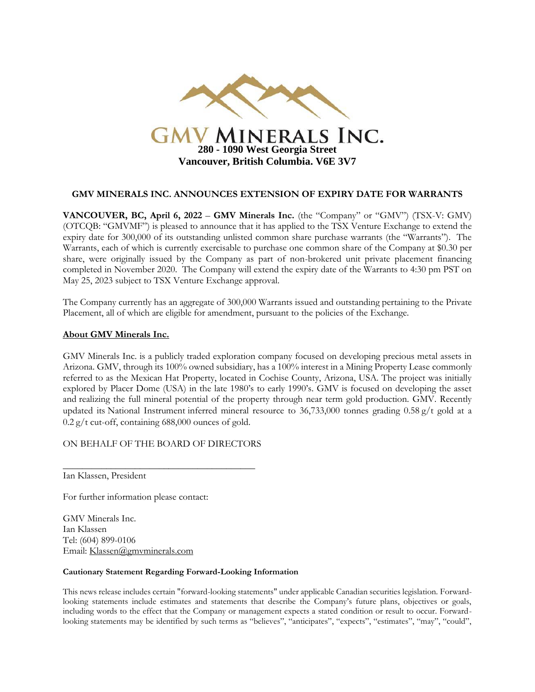

## **GMV MINERALS INC. ANNOUNCES EXTENSION OF EXPIRY DATE FOR WARRANTS**

**VANCOUVER, BC, April 6, 2022** – **GMV Minerals Inc.** (the "Company" or "GMV") (TSX-V: GMV) (OTCQB: "GMVMF") is pleased to announce that it has applied to the TSX Venture Exchange to extend the expiry date for 300,000 of its outstanding unlisted common share purchase warrants (the "Warrants"). The Warrants, each of which is currently exercisable to purchase one common share of the Company at \$0.30 per share, were originally issued by the Company as part of non-brokered unit private placement financing completed in November 2020. The Company will extend the expiry date of the Warrants to 4:30 pm PST on May 25, 2023 subject to TSX Venture Exchange approval.

The Company currently has an aggregate of 300,000 Warrants issued and outstanding pertaining to the Private Placement, all of which are eligible for amendment, pursuant to the policies of the Exchange.

## **About GMV Minerals Inc.**

GMV Minerals Inc. is a publicly traded exploration company focused on developing precious metal assets in Arizona. GMV, through its 100% owned subsidiary, has a 100% interest in a Mining Property Lease commonly referred to as the Mexican Hat Property, located in Cochise County, Arizona, USA. The project was initially explored by Placer Dome (USA) in the late 1980's to early 1990's. GMV is focused on developing the asset and realizing the full mineral potential of the property through near term gold production. GMV. Recently updated its National Instrument inferred mineral resource to 36,733,000 tonnes grading 0.58 g/t gold at a  $0.2$  g/t cut-off, containing 688,000 ounces of gold.

ON BEHALF OF THE BOARD OF DIRECTORS

\_\_\_\_\_\_\_\_\_\_\_\_\_\_\_\_\_\_\_\_\_\_\_\_\_\_\_\_\_\_\_\_\_\_\_\_\_\_\_\_

Ian Klassen, President

For further information please contact:

GMV Minerals Inc. Ian Klassen Tel: (604) 899-0106 Email: [Klassen@gmvminerals.com](mailto:Klassen@gmvminerals.com)

## **Cautionary Statement Regarding Forward-Looking Information**

This news release includes certain "forward-looking statements" under applicable Canadian securities legislation. Forwardlooking statements include estimates and statements that describe the Company's future plans, objectives or goals, including words to the effect that the Company or management expects a stated condition or result to occur. Forwardlooking statements may be identified by such terms as "believes", "anticipates", "expects", "estimates", "may", "could",